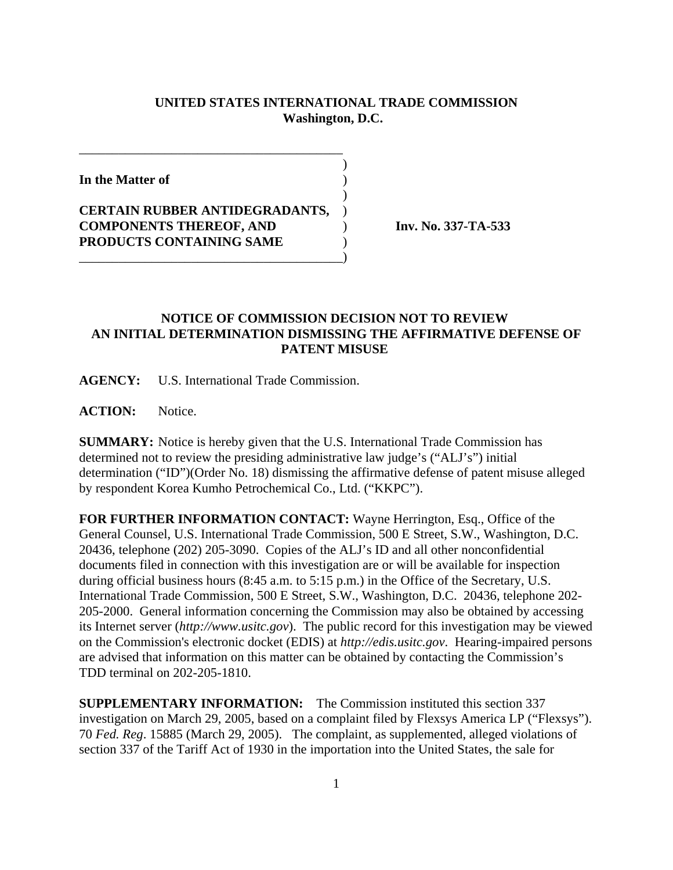## **UNITED STATES INTERNATIONAL TRADE COMMISSION Washington, D.C.**

 $\overline{\phantom{a}}$ 

 $\overline{\phantom{a}}$ 

**In the Matter of** )

**CERTAIN RUBBER ANTIDEGRADANTS,** ) **COMPONENTS THEREOF, AND** ) **Inv. No. 337-TA-533 PRODUCTS CONTAINING SAME** )

\_\_\_\_\_\_\_\_\_\_\_\_\_\_\_\_\_\_\_\_\_\_\_\_\_\_\_\_\_\_\_\_\_\_\_\_\_\_\_\_)

\_\_\_\_\_\_\_\_\_\_\_\_\_\_\_\_\_\_\_\_\_\_\_\_\_\_\_\_\_\_\_\_\_\_\_\_\_\_\_\_

## **NOTICE OF COMMISSION DECISION NOT TO REVIEW AN INITIAL DETERMINATION DISMISSING THE AFFIRMATIVE DEFENSE OF PATENT MISUSE**

**AGENCY:** U.S. International Trade Commission.

**ACTION:** Notice.

**SUMMARY:** Notice is hereby given that the U.S. International Trade Commission has determined not to review the presiding administrative law judge's ("ALJ's") initial determination ("ID")(Order No. 18) dismissing the affirmative defense of patent misuse alleged by respondent Korea Kumho Petrochemical Co., Ltd. ("KKPC").

**FOR FURTHER INFORMATION CONTACT:** Wayne Herrington, Esq., Office of the General Counsel, U.S. International Trade Commission, 500 E Street, S.W., Washington, D.C. 20436, telephone (202) 205-3090. Copies of the ALJ's ID and all other nonconfidential documents filed in connection with this investigation are or will be available for inspection during official business hours (8:45 a.m. to 5:15 p.m.) in the Office of the Secretary, U.S. International Trade Commission, 500 E Street, S.W., Washington, D.C. 20436, telephone 202- 205-2000. General information concerning the Commission may also be obtained by accessing its Internet server (*http://www.usitc.gov*). The public record for this investigation may be viewed on the Commission's electronic docket (EDIS) at *http://edis.usitc.gov*. Hearing-impaired persons are advised that information on this matter can be obtained by contacting the Commission's TDD terminal on 202-205-1810.

**SUPPLEMENTARY INFORMATION:** The Commission instituted this section 337 investigation on March 29, 2005, based on a complaint filed by Flexsys America LP ("Flexsys"). 70 *Fed. Reg*. 15885 (March 29, 2005). The complaint, as supplemented, alleged violations of section 337 of the Tariff Act of 1930 in the importation into the United States, the sale for